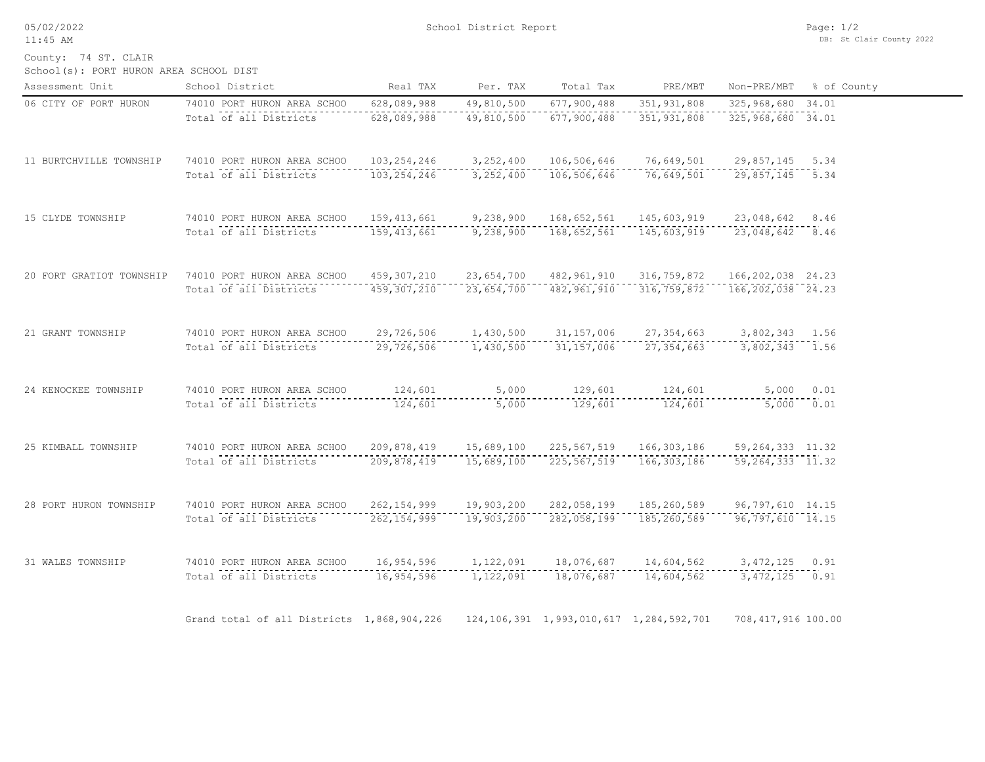05/02/2022 11:45 AM

County: 74 ST. CLAIR

| School(s): PORT HURON AREA SCHOOL DIST |  |  |  |  |  |
|----------------------------------------|--|--|--|--|--|
|----------------------------------------|--|--|--|--|--|

| Assessment Unit          | School District                            | Real TAX      | Per. TAX   | Total Tax                                       | PRE/MBT       | Non-PRE/MBT          | % of County |
|--------------------------|--------------------------------------------|---------------|------------|-------------------------------------------------|---------------|----------------------|-------------|
| 06 CITY OF PORT HURON    | 74010 PORT HURON AREA SCHOO                | 628,089,988   | 49,810,500 | 677,900,488                                     | 351, 931, 808 | 325,968,680 34.01    |             |
|                          | Total of all Districts                     | 628,089,988   | 49,810,500 | 677,900,488                                     | 351, 931, 808 | 325, 968, 680 34.01  |             |
| 11 BURTCHVILLE TOWNSHIP  | 74010 PORT HURON AREA SCHOO                | 103, 254, 246 | 3,252,400  | 106,506,646                                     | 76,649,501    | 29,857,145 5.34      |             |
|                          | Total of all Districts                     | 103, 254, 246 | 3,252,400  | 106,506,646                                     | 76,649,501    | 29,857,145 5.34      |             |
| 15 CLYDE TOWNSHIP        | 74010 PORT HURON AREA SCHOO                | 159, 413, 661 | 9,238,900  | 168,652,561                                     | 145,603,919   | 23,048,642 8.46      |             |
|                          | Total of all Districts                     | 159, 413, 661 | 9,238,900  | 168,652,561                                     | 145,603,919   | 23,048,642 8.46      |             |
| 20 FORT GRATIOT TOWNSHIP | 74010 PORT HURON AREA SCHOO                | 459,307,210   | 23,654,700 | 482,961,910                                     | 316,759,872   | 166, 202, 038 24.23  |             |
|                          | Total of all Districts                     | 459,307,210   | 23,654,700 | 482,961,910                                     | 316, 759, 872 | 166, 202, 038 24.23  |             |
| 21 GRANT TOWNSHIP        | 74010 PORT HURON AREA SCHOO                | 29,726,506    | 1,430,500  | 31, 157, 006                                    | 27, 354, 663  | 3,802,343 1.56       |             |
|                          | Total of all Districts                     | 29,726,506    | 1,430,500  | 31, 157, 006                                    | 27, 354, 663  | 3,802,343 1.56       |             |
| 24 KENOCKEE TOWNSHIP     | 74010 PORT HURON AREA SCHOO                | 124,601       | 5,000      | 129,601                                         | 124,601       |                      | 5,000 0.01  |
|                          | Total of all Districts                     | 124,601       | 5,000      | 129,601                                         | 124,601       |                      | 5,000 0.01  |
| 25 KIMBALL TOWNSHIP      | 74010 PORT HURON AREA SCHOO                | 209,878,419   | 15,689,100 | 225,567,519                                     | 166,303,186   | 59, 264, 333 11.32   |             |
|                          | Total of all Districts                     | 209,878,419   | 15,689,100 | 225,567,519                                     | 166,303,186   | $59, 264, 333$ 11.32 |             |
| 28 PORT HURON TOWNSHIP   | 74010 PORT HURON AREA SCHOO                | 262, 154, 999 | 19,903,200 | 282,058,199                                     | 185,260,589   | 96,797,610 14.15     |             |
|                          | Total of all Districts                     | 262, 154, 999 | 19,903,200 | 282,058,199                                     | 185,260,589   | $96,797,610$ $14.15$ |             |
| 31 WALES TOWNSHIP        | 74010 PORT HURON AREA SCHOO                | 16,954,596    | 1,122,091  | 18,076,687                                      | 14,604,562    | $3,472,125$ 0.91     |             |
|                          | Total of all Districts                     | 16,954,596    | 1,122,091  | 18,076,687                                      | 14,604,562    | $3,472,125$ 0.91     |             |
|                          | Grand total of all Districts 1,868,904,226 |               |            | 124, 106, 391 1, 993, 010, 617 1, 284, 592, 701 |               | 708, 417, 916 100.00 |             |